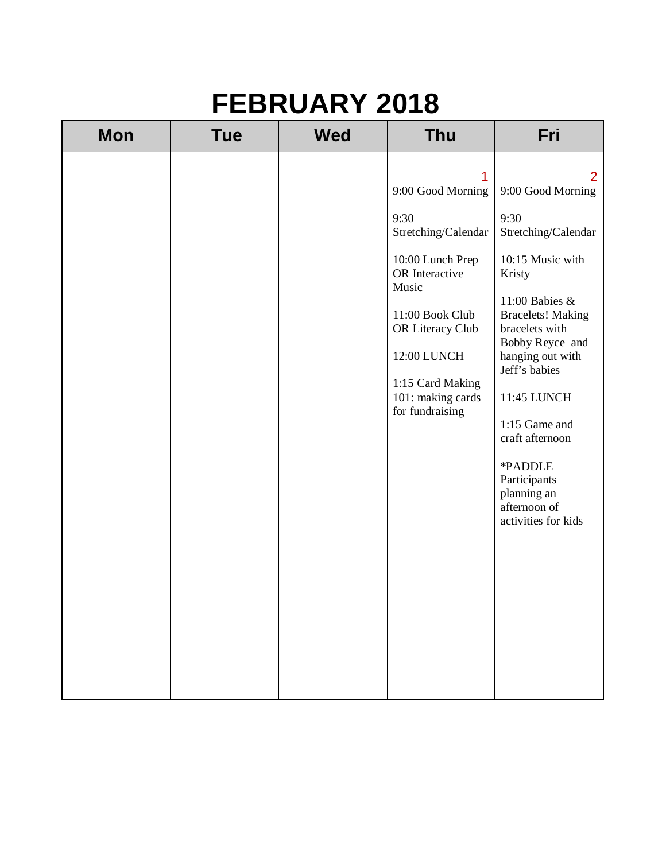| <b>Mon</b> | <b>Tue</b> | <b>Wed</b> | <b>Thu</b>                                                                                                                                                                                                             | Fri                                                                                                                                                                                                                                                                                                                                                          |
|------------|------------|------------|------------------------------------------------------------------------------------------------------------------------------------------------------------------------------------------------------------------------|--------------------------------------------------------------------------------------------------------------------------------------------------------------------------------------------------------------------------------------------------------------------------------------------------------------------------------------------------------------|
|            |            |            | 1<br>9:00 Good Morning<br>9:30<br>Stretching/Calendar<br>10:00 Lunch Prep<br>OR Interactive<br>Music<br>11:00 Book Club<br>OR Literacy Club<br>12:00 LUNCH<br>1:15 Card Making<br>101: making cards<br>for fundraising | $\overline{2}$<br>9:00 Good Morning<br>9:30<br>Stretching/Calendar<br>10:15 Music with<br>Kristy<br>11:00 Babies &<br><b>Bracelets! Making</b><br>bracelets with<br>Bobby Reyce and<br>hanging out with<br>Jeff's babies<br>11:45 LUNCH<br>1:15 Game and<br>craft afternoon<br>*PADDLE<br>Participants<br>planning an<br>afternoon of<br>activities for kids |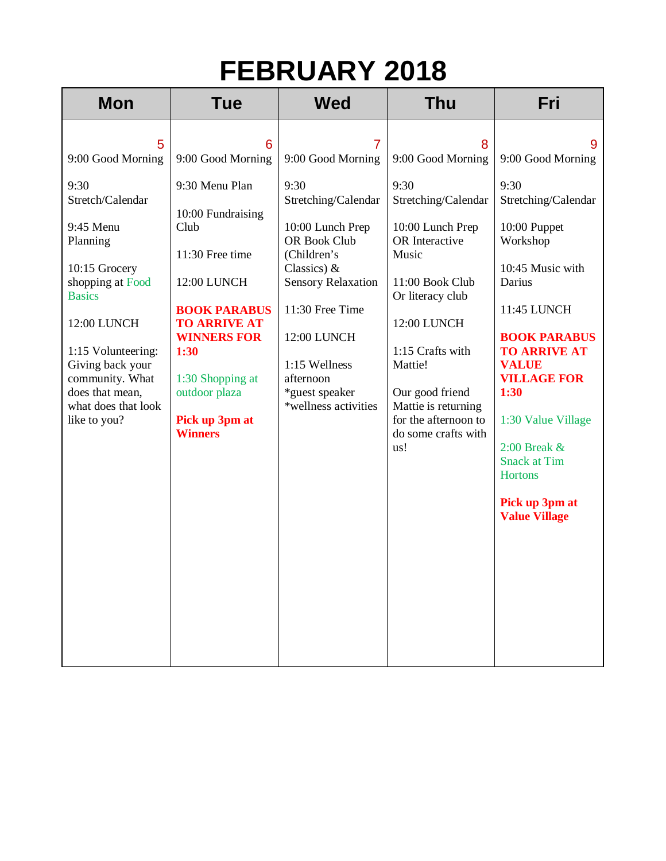| <b>Mon</b>                                                                                                                                                                                                                                                              | <b>Tue</b>                                                                                                                                                                                                                                                   | <b>Wed</b>                                                                                                                                                                                                                                                        | <b>Thu</b>                                                                                                                                                                                                                                                                                | Fri                                                                                                                                                                                                                                                                                                                                                      |
|-------------------------------------------------------------------------------------------------------------------------------------------------------------------------------------------------------------------------------------------------------------------------|--------------------------------------------------------------------------------------------------------------------------------------------------------------------------------------------------------------------------------------------------------------|-------------------------------------------------------------------------------------------------------------------------------------------------------------------------------------------------------------------------------------------------------------------|-------------------------------------------------------------------------------------------------------------------------------------------------------------------------------------------------------------------------------------------------------------------------------------------|----------------------------------------------------------------------------------------------------------------------------------------------------------------------------------------------------------------------------------------------------------------------------------------------------------------------------------------------------------|
| 5<br>9:00 Good Morning<br>9:30<br>Stretch/Calendar<br>9:45 Menu<br>Planning<br>10:15 Grocery<br>shopping at Food<br><b>Basics</b><br>12:00 LUNCH<br>1:15 Volunteering:<br>Giving back your<br>community. What<br>does that mean,<br>what does that look<br>like to you? | 6<br>9:00 Good Morning<br>9:30 Menu Plan<br>10:00 Fundraising<br>Club<br>11:30 Free time<br>12:00 LUNCH<br><b>BOOK PARABUS</b><br><b>TO ARRIVE AT</b><br><b>WINNERS FOR</b><br>1:30<br>1:30 Shopping at<br>outdoor plaza<br>Pick up 3pm at<br><b>Winners</b> | 7<br>9:00 Good Morning<br>9:30<br>Stretching/Calendar<br>10:00 Lunch Prep<br>OR Book Club<br>(Children's<br>Classics) $\&$<br><b>Sensory Relaxation</b><br>11:30 Free Time<br>12:00 LUNCH<br>1:15 Wellness<br>afternoon<br>*guest speaker<br>*wellness activities | 8<br>9:00 Good Morning<br>9:30<br>Stretching/Calendar<br>10:00 Lunch Prep<br>OR Interactive<br>Music<br>11:00 Book Club<br>Or literacy club<br>12:00 LUNCH<br>1:15 Crafts with<br>Mattie!<br>Our good friend<br>Mattie is returning<br>for the afternoon to<br>do some crafts with<br>us! | 9<br>9:00 Good Morning<br>9:30<br>Stretching/Calendar<br>10:00 Puppet<br>Workshop<br>10:45 Music with<br>Darius<br>11:45 LUNCH<br><b>BOOK PARABUS</b><br><b>TO ARRIVE AT</b><br><b>VALUE</b><br><b>VILLAGE FOR</b><br>1:30<br>1:30 Value Village<br>$2:00$ Break $\&$<br><b>Snack at Tim</b><br><b>Hortons</b><br>Pick up 3pm at<br><b>Value Village</b> |
|                                                                                                                                                                                                                                                                         |                                                                                                                                                                                                                                                              |                                                                                                                                                                                                                                                                   |                                                                                                                                                                                                                                                                                           |                                                                                                                                                                                                                                                                                                                                                          |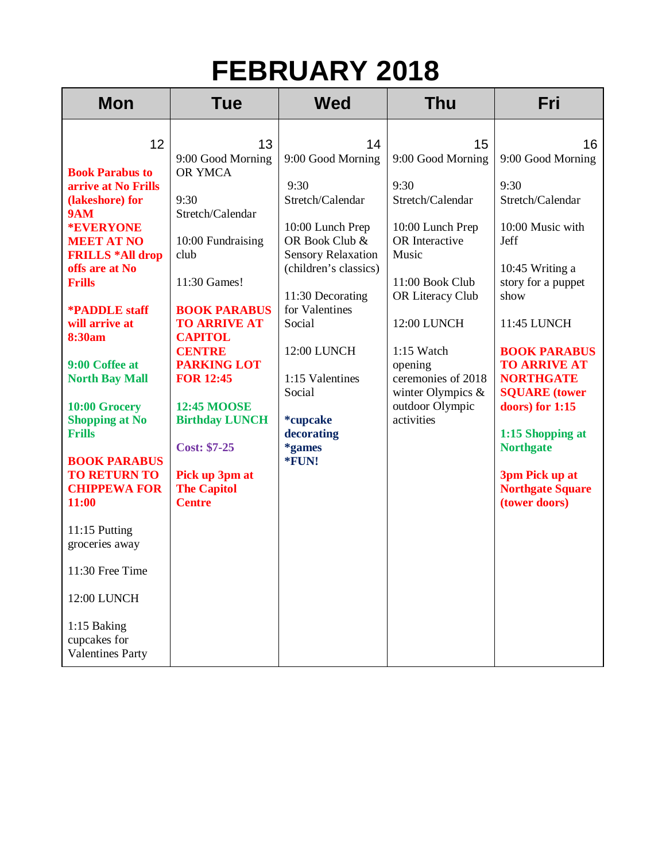| <b>Mon</b>                                                                                                                                                                                                                                                   | <b>Tue</b>                                                                                                                                                                                                                                                             | <b>Wed</b>                                                                                                                                      | <b>Thu</b>                                                                                                                                                | Fri                                                                                                                                                                                                                                                          |
|--------------------------------------------------------------------------------------------------------------------------------------------------------------------------------------------------------------------------------------------------------------|------------------------------------------------------------------------------------------------------------------------------------------------------------------------------------------------------------------------------------------------------------------------|-------------------------------------------------------------------------------------------------------------------------------------------------|-----------------------------------------------------------------------------------------------------------------------------------------------------------|--------------------------------------------------------------------------------------------------------------------------------------------------------------------------------------------------------------------------------------------------------------|
| 12<br><b>Book Parabus to</b><br>arrive at No Frills<br>(lakeshore) for<br><b>9AM</b><br><b>*EVERYONE</b><br><b>MEET AT NO</b><br><b>FRILLS *All drop</b><br>offs are at No                                                                                   | 13<br>9:00 Good Morning<br>OR YMCA<br>9:30<br>Stretch/Calendar<br>10:00 Fundraising<br>club                                                                                                                                                                            | 14<br>9:00 Good Morning<br>9:30<br>Stretch/Calendar<br>10:00 Lunch Prep<br>OR Book Club &<br><b>Sensory Relaxation</b><br>(children's classics) | 15<br>9:00 Good Morning<br>9:30<br>Stretch/Calendar<br>10:00 Lunch Prep<br>OR Interactive<br>Music                                                        | 16<br>9:00 Good Morning<br>9:30<br>Stretch/Calendar<br>10:00 Music with<br>Jeff<br>10:45 Writing a                                                                                                                                                           |
| <b>Frills</b><br><b>*PADDLE</b> staff<br>will arrive at<br><b>8:30am</b><br>9:00 Coffee at<br><b>North Bay Mall</b><br>10:00 Grocery<br><b>Shopping at No</b><br><b>Frills</b><br><b>BOOK PARABUS</b><br><b>TO RETURN TO</b><br><b>CHIPPEWA FOR</b><br>11:00 | 11:30 Games!<br><b>BOOK PARABUS</b><br><b>TO ARRIVE AT</b><br><b>CAPITOL</b><br><b>CENTRE</b><br><b>PARKING LOT</b><br><b>FOR 12:45</b><br><b>12:45 MOOSE</b><br><b>Birthday LUNCH</b><br><b>Cost: \$7-25</b><br>Pick up 3pm at<br><b>The Capitol</b><br><b>Centre</b> | 11:30 Decorating<br>for Valentines<br>Social<br>12:00 LUNCH<br>1:15 Valentines<br>Social<br>*cupcake<br>decorating<br>*games<br>*FUN!           | 11:00 Book Club<br>OR Literacy Club<br>12:00 LUNCH<br>1:15 Watch<br>opening<br>ceremonies of 2018<br>winter Olympics $&$<br>outdoor Olympic<br>activities | story for a puppet<br>show<br>11:45 LUNCH<br><b>BOOK PARABUS</b><br><b>TO ARRIVE AT</b><br><b>NORTHGATE</b><br><b>SQUARE</b> (tower<br>doors) for 1:15<br>1:15 Shopping at<br><b>Northgate</b><br>3pm Pick up at<br><b>Northgate Square</b><br>(tower doors) |
| 11:15 Putting<br>groceries away<br>11:30 Free Time<br>12:00 LUNCH<br>1:15 Baking<br>cupcakes for<br><b>Valentines Party</b>                                                                                                                                  |                                                                                                                                                                                                                                                                        |                                                                                                                                                 |                                                                                                                                                           |                                                                                                                                                                                                                                                              |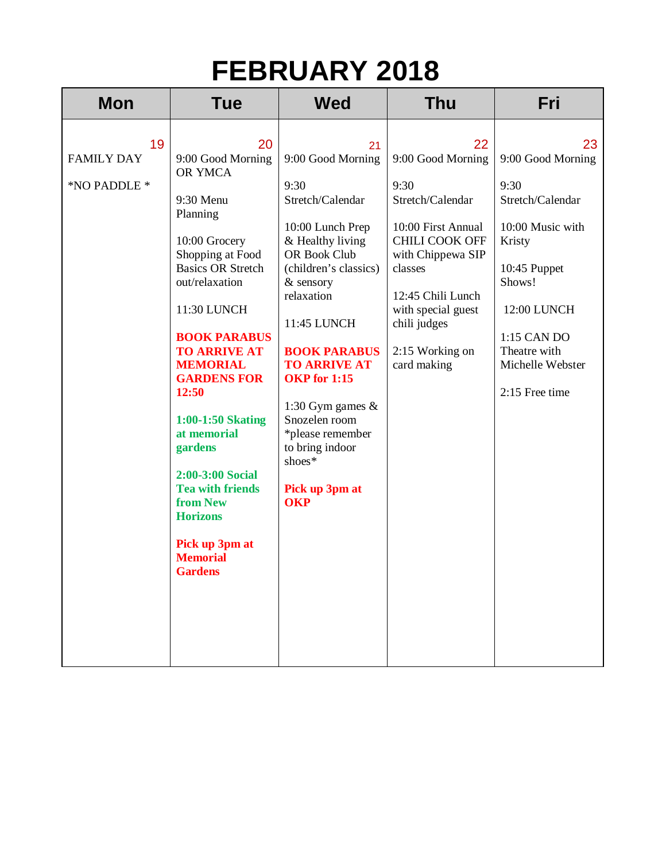| <b>Mon</b>                              | <b>Tue</b>                                                                                                                                                                                                                                                                                                                                                                                                                                        | <b>Wed</b>                                                                                                                                                                                                                                                                                                                                                                   | <b>Thu</b>                                                                                                                                                                                                               | Fri                                                                                                                                                                                             |
|-----------------------------------------|---------------------------------------------------------------------------------------------------------------------------------------------------------------------------------------------------------------------------------------------------------------------------------------------------------------------------------------------------------------------------------------------------------------------------------------------------|------------------------------------------------------------------------------------------------------------------------------------------------------------------------------------------------------------------------------------------------------------------------------------------------------------------------------------------------------------------------------|--------------------------------------------------------------------------------------------------------------------------------------------------------------------------------------------------------------------------|-------------------------------------------------------------------------------------------------------------------------------------------------------------------------------------------------|
| 19<br><b>FAMILY DAY</b><br>*NO PADDLE * | 20<br>9:00 Good Morning<br>OR YMCA<br>9:30 Menu<br>Planning<br>10:00 Grocery<br>Shopping at Food<br><b>Basics OR Stretch</b><br>out/relaxation<br>11:30 LUNCH<br><b>BOOK PARABUS</b><br><b>TO ARRIVE AT</b><br><b>MEMORIAL</b><br><b>GARDENS FOR</b><br>12:50<br>1:00-1:50 Skating<br>at memorial<br>gardens<br>2:00-3:00 Social<br><b>Tea with friends</b><br>from New<br><b>Horizons</b><br>Pick up 3pm at<br><b>Memorial</b><br><b>Gardens</b> | 21<br>9:00 Good Morning<br>9:30<br>Stretch/Calendar<br>10:00 Lunch Prep<br>& Healthy living<br>OR Book Club<br>(children's classics)<br>& sensory<br>relaxation<br>11:45 LUNCH<br><b>BOOK PARABUS</b><br><b>TO ARRIVE AT</b><br><b>OKP</b> for 1:15<br>1:30 Gym games $\&$<br>Snozelen room<br>*please remember<br>to bring indoor<br>shoes*<br>Pick up 3pm at<br><b>OKP</b> | 22<br>9:00 Good Morning<br>9:30<br>Stretch/Calendar<br>10:00 First Annual<br>CHILI COOK OFF<br>with Chippewa SIP<br>classes<br>12:45 Chili Lunch<br>with special guest<br>chili judges<br>2:15 Working on<br>card making | 23<br>9:00 Good Morning<br>9:30<br>Stretch/Calendar<br>10:00 Music with<br>Kristy<br>10:45 Puppet<br>Shows!<br>12:00 LUNCH<br>1:15 CAN DO<br>Theatre with<br>Michelle Webster<br>2:15 Free time |
|                                         |                                                                                                                                                                                                                                                                                                                                                                                                                                                   |                                                                                                                                                                                                                                                                                                                                                                              |                                                                                                                                                                                                                          |                                                                                                                                                                                                 |